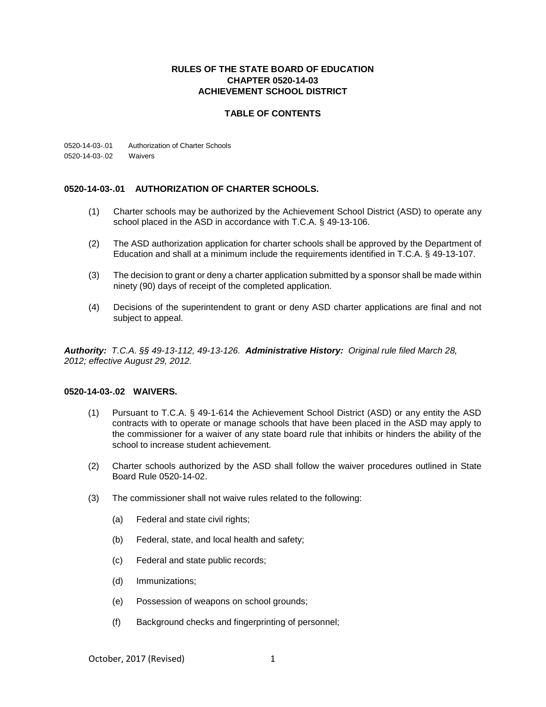## **RULES OF THE STATE BOARD OF EDUCATION CHAPTER 0520-14-03 ACHIEVEMENT SCHOOL DISTRICT**

## **TABLE OF CONTENTS**

0520-14-03-.01 Authorization of Charter Schools 0520-14-03-.02 Waivers

## **0520-14-03-.01 AUTHORIZATION OF CHARTER SCHOOLS.**

- (1) Charter schools may be authorized by the Achievement School District (ASD) to operate any school placed in the ASD in accordance with T.C.A. § 49-13-106.
- (2) The ASD authorization application for charter schools shall be approved by the Department of Education and shall at a minimum include the requirements identified in T.C.A. § 49-13-107.
- (3) The decision to grant or deny a charter application submitted by a sponsor shall be made within ninety (90) days of receipt of the completed application.
- (4) Decisions of the superintendent to grant or deny ASD charter applications are final and not subject to appeal.

*Authority: T.C.A. §§ 49-13-112, 49-13-126. Administrative History: Original rule filed March 28, 2012; effective August 29, 2012.*

## **0520-14-03-.02 WAIVERS.**

- (1) Pursuant to T.C.A. § 49-1-614 the Achievement School District (ASD) or any entity the ASD contracts with to operate or manage schools that have been placed in the ASD may apply to the commissioner for a waiver of any state board rule that inhibits or hinders the ability of the school to increase student achievement.
- (2) Charter schools authorized by the ASD shall follow the waiver procedures outlined in State Board Rule 0520-14-02.
- (3) The commissioner shall not waive rules related to the following:
	- (a) Federal and state civil rights;
	- (b) Federal, state, and local health and safety;
	- (c) Federal and state public records;
	- (d) Immunizations;
	- (e) Possession of weapons on school grounds;
	- (f) Background checks and fingerprinting of personnel;